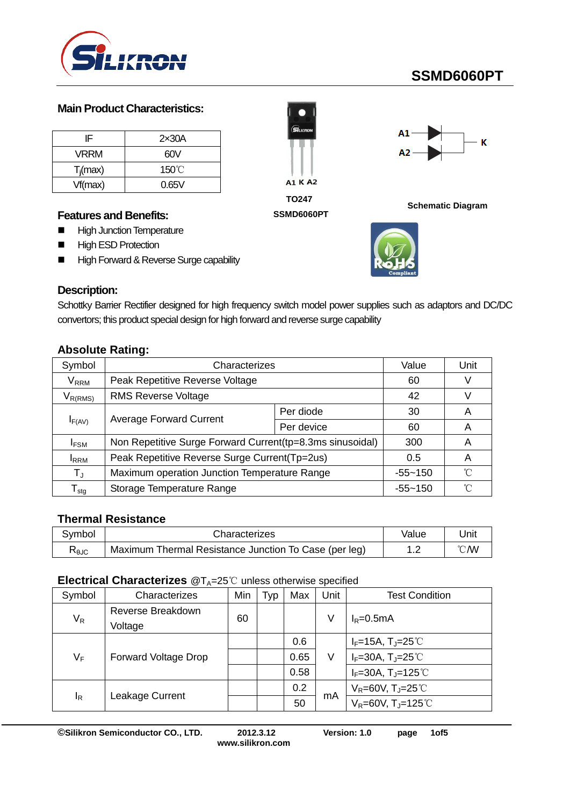

# **SSMD6060PT**

#### **Main Product Characteristics:**

| IF          | 2x30A           |
|-------------|-----------------|
| <b>VRRM</b> | 60V             |
| $T_i$ (max) | $150^{\circ}$ C |
| Vf(max)     | 0.65V           |

#### **Features and Benefits:**

- **High Junction Temperature**
- **High ESD Protection**
- **High Forward & Reverse Surge capability**



#### **SSMD6060PT**



**Schematic Diagram**



#### **Description:**

Schottky Barrier Rectifier designed for high frequency switch model power supplies such as adaptors and DC/DC convertors; this product special design for high forward and reverse surge capability

#### **Absolute Rating:**

| Symbol                           | Characterizes                                              | Value       | Unit              |   |
|----------------------------------|------------------------------------------------------------|-------------|-------------------|---|
| $\mathsf{V}_\mathsf{RRM}$        | Peak Repetitive Reverse Voltage                            | 60          |                   |   |
| $V_{R(RMS)}$                     | <b>RMS Reverse Voltage</b>                                 | 42          |                   |   |
|                                  |                                                            | Per diode   | 30                | A |
| $I_{F(AV)}$                      | <b>Average Forward Current</b>                             | Per device  | 60                | A |
| <b>IFSM</b>                      | Non Repetitive Surge Forward Current (tp=8.3ms sinusoidal) | 300         | A                 |   |
| <b>I</b> RRM                     | Peak Repetitive Reverse Surge Current(Tp=2us)              | 0.5         | A                 |   |
| $T_{\rm J}$                      | Maximum operation Junction Temperature Range               | $-55 - 150$ | $^{\circ}$ $\cap$ |   |
| $\mathsf{\Gamma}_{\textsf{stg}}$ | Storage Temperature Range                                  | $-55 - 150$ | °∩°               |   |

### **Thermal Resistance**

| Svmbol                                        | Characterizes                                         | Value                  | Jnit |
|-----------------------------------------------|-------------------------------------------------------|------------------------|------|
| $\mathsf{R}_{\mathsf{0}\mathsf{J}\mathsf{C}}$ | Maximum Thermal Resistance Junction To Case (per leg) | <u>ຼ</u><br>. <u>.</u> | ℃W   |

#### **Electrical Characterizes** @T<sub>A</sub>=25℃ unless otherwise specified

| Symbol | Characterizes               | Min | Typ | Max  | Unit | <b>Test Condition</b>                           |
|--------|-----------------------------|-----|-----|------|------|-------------------------------------------------|
| $V_R$  | Reverse Breakdown           | 60  |     |      | V    | $I_R = 0.5mA$                                   |
|        | Voltage                     |     |     |      |      |                                                 |
| $V_F$  | <b>Forward Voltage Drop</b> |     |     | 0.6  | ٧    | $I_F = 15A$ , $T_J = 25^{\circ}$ C              |
|        |                             |     |     | 0.65 |      | $I_F=30A$ , T <sub>J</sub> =25℃                 |
|        |                             |     |     | 0.58 |      | $I_F = 30A$ , T <sub>J</sub> =125°C             |
| ΙŖ     |                             |     |     | 0.2  | mA   | $V_R = 60V$ , T <sub>J</sub> =25 <sup>°</sup> C |
|        | Leakage Current             |     |     | 50   |      | $V_R = 60V$ , T <sub>J</sub> =125°C             |

**©Silikron Semiconductor CO., LTD. 2012.3.12 Version: 1.0 page 1of5**

**www.silikron.com**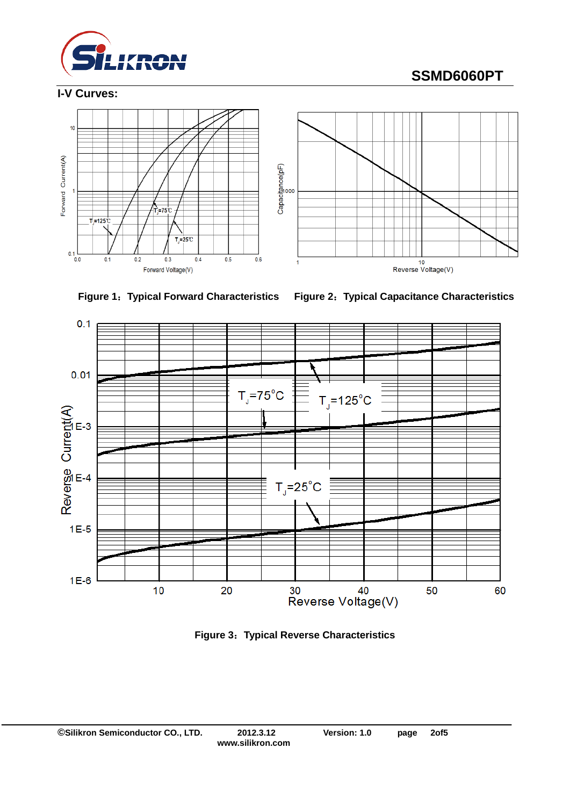

**I-V Curves:**

# **SSMD6060PT**











**Figure 3**:**Typical Reverse Characteristics**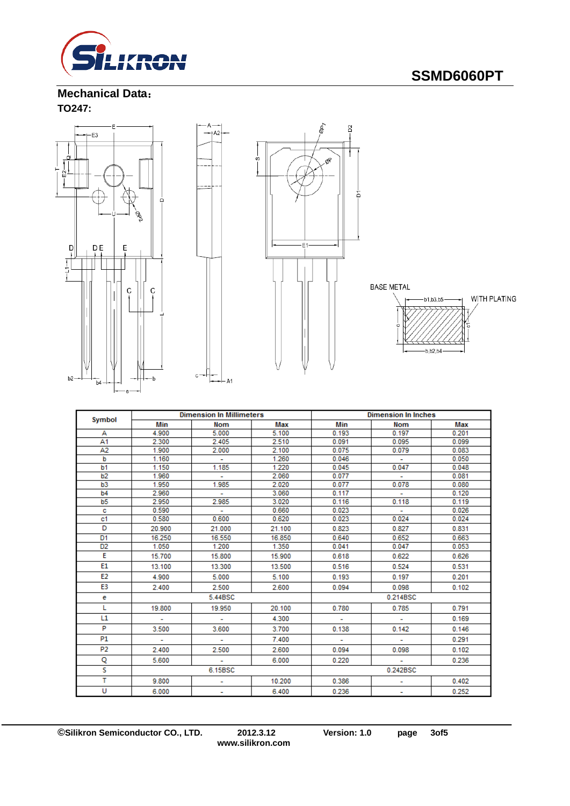

### **Mechanical Data**: **TO247:**



 $_{\rm c}$ 





| Symbol         |        | <b>Dimension In Millimeters</b> |        | <b>Dimension In Inches</b> |                          |       |  |
|----------------|--------|---------------------------------|--------|----------------------------|--------------------------|-------|--|
|                | Min    | Nom                             | Max    | Min                        | <b>Nom</b>               | Max   |  |
| А              | 4.900  | 5.000                           | 5.100  | 0.193                      | 0.197                    | 0.201 |  |
| A1             | 2.300  | 2.405                           | 2.510  | 0.091                      | 0.095                    | 0.099 |  |
| A2             | 1.900  | 2.000                           | 2.100  | 0.075                      | 0.079                    | 0.083 |  |
| b              | 1.160  | ÷                               | 1.260  | 0.046                      | $\sim$                   | 0.050 |  |
| b <sub>1</sub> | 1.150  | 1.185                           | 1.220  | 0.045                      | 0.047                    | 0.048 |  |
| b <sub>2</sub> | 1.960  | ÷.                              | 2.060  | 0.077                      | ÷                        | 0.081 |  |
| b <sub>3</sub> | 1.950  | 1.985                           | 2.020  | 0.077                      | 0.078                    | 0.080 |  |
| b4             | 2.960  | ÷.                              | 3.060  | 0.117                      | $\sim$                   | 0.120 |  |
| b <sub>5</sub> | 2.950  | 2.985                           | 3.020  | 0.116                      | 0.118                    | 0.119 |  |
| c              | 0.590  | ÷                               | 0.660  | 0.023                      | $\sim$                   | 0.026 |  |
| c <sub>1</sub> | 0.580  | 0.600                           | 0.620  | 0.023                      | 0.024                    | 0.024 |  |
| D              | 20.900 | 21.000                          | 21.100 | 0.823                      | 0.827                    | 0.831 |  |
| D <sub>1</sub> | 16.250 | 16.550                          | 16,850 | 0.640                      | 0.652                    | 0.663 |  |
| D <sub>2</sub> | 1.050  | 1.200                           | 1.350  | 0.041                      | 0.047                    | 0.053 |  |
| E              | 15.700 | 15.800                          | 15.900 | 0.618                      | 0.622                    | 0.626 |  |
| E1             | 13.100 | 13.300                          | 13.500 | 0.516                      | 0.524                    | 0.531 |  |
| E <sub>2</sub> | 4.900  | 5.000                           | 5.100  | 0.193                      | 0.197                    | 0.201 |  |
| E3             | 2.400  | 2.500                           | 2.600  | 0.094                      | 0.098                    | 0.102 |  |
| е              |        | 5.44BSC                         |        | 0.214BSC                   |                          |       |  |
| L              | 19,800 | 19.950                          | 20.100 | 0.780                      | 0.785                    | 0.791 |  |
| L1             | ÷      | ÷                               | 4.300  |                            | ٠                        | 0.169 |  |
| P              | 3.500  | 3.600                           | 3.700  | 0.138                      | 0.142                    | 0.146 |  |
| <b>P1</b>      | ٠      | ۰                               | 7.400  |                            | $\overline{\phantom{a}}$ | 0.291 |  |
| P <sub>2</sub> | 2.400  | 2.500                           | 2.600  | 0.094                      | 0.098                    | 0.102 |  |
| Q              | 5.600  | ÷                               | 6.000  | 0.220                      | $\sim$                   | 0.236 |  |
| s              |        | 6.15BSC                         |        |                            | 0.242BSC                 |       |  |
| т              | 9.800  | ۰                               | 10.200 | 0.386                      |                          | 0.402 |  |
| U              | 6.000  | ۰                               | 6.400  | 0.236                      | $\overline{\phantom{a}}$ | 0.252 |  |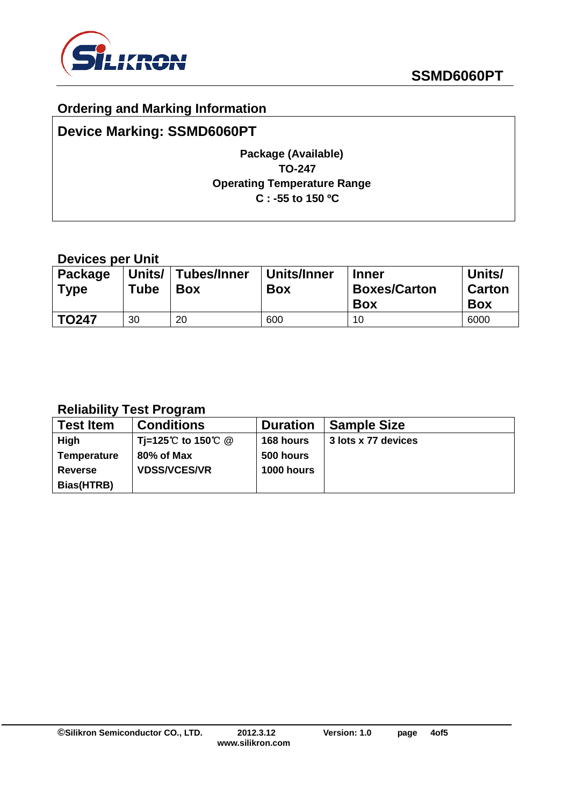

### **Ordering and Marking Information**

## **Device Marking: SSMD6060PT**

### **Package (Available) TO-247 Operating Temperature Range C : -55 to 150 ºC**

### **Devices per Unit**

| <b>Package</b><br><b>Type</b> | Units/<br>Tube | Tubes/Inner<br><b>Box</b> | Units/Inner<br><b>Box</b> | <b>Inner</b><br><b>Boxes/Carton</b><br><b>Box</b> | Units/<br><b>Carton</b><br><b>Box</b> |
|-------------------------------|----------------|---------------------------|---------------------------|---------------------------------------------------|---------------------------------------|
| <b>TO247</b>                  | 30             | 20                        | 600                       | 10                                                | 6000                                  |

## **Reliability Test Program**

| <b>Test Item</b>   | <b>Conditions</b>   | <b>Duration</b>   | <b>Sample Size</b>  |
|--------------------|---------------------|-------------------|---------------------|
| High               | Ti=125℃ to 150℃ @   | 168 hours         | 3 lots x 77 devices |
| <b>Temperature</b> | 80% of Max          | 500 hours         |                     |
| <b>Reverse</b>     | <b>VDSS/VCES/VR</b> | <b>1000 hours</b> |                     |
| Bias(HTRB)         |                     |                   |                     |